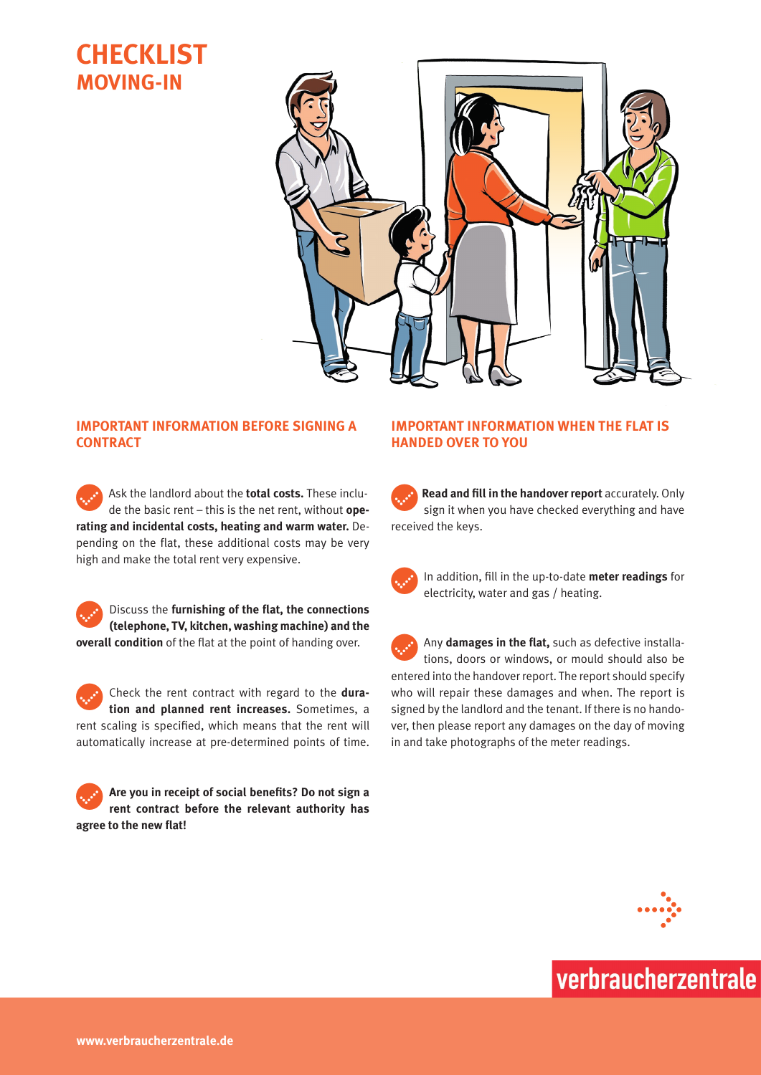# **Checklist Moving-In**



## **Important information before signing a contract**

Ask the landlord about the **total costs.** These include the basic rent – this is the net rent, without **operating and incidental costs, heating and warm water.** Depending on the flat, these additional costs may be very high and make the total rent very expensive.



Check the rent contract with regard to the dura**tion and planned rent increases.** Sometimes, a rent scaling is specified, which means that the rent will automatically increase at pre-determined points of time.

c**Are you in receipt of social benefits? Do not sign a rent contract before the relevant authority has agree to the new flat!**

## **Important information when the flat is handed over to you**

**Read and fill in the handover report** accurately. Only sign it when you have checked everything and have received the keys.

In addition, fill in the up-to-date meter readings for electricity, water and gas / heating.

Any damages in the flat, such as defective installations, doors or windows, or mould should also be entered into the handover report. The report should specify who will repair these damages and when. The report is signed by the landlord and the tenant. If there is no handover, then please report any damages on the day of moving in and take photographs of the meter readings.